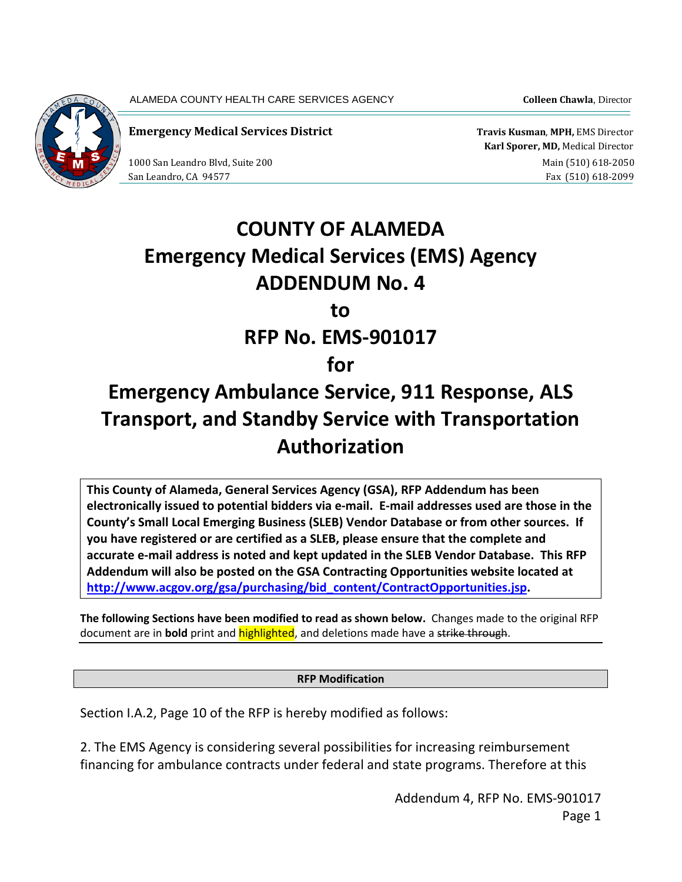ALAMEDA COUNTY HEALTH CARE SERVICES AGENCY **Colleen Chawla**, Director



**Emergency Medical Services District Travis Kusman**, **MPH,** EMS Director

 **Karl Sporer, MD,** Medical Director 1000 San Leandro Blvd, Suite 200 and Suite 200 main (510) 618-2050 San Leandro, CA 94577 Fax (510) 618-2099

## **COUNTY OF ALAMEDA Emergency Medical Services (EMS) Agency ADDENDUM No. 4 to RFP No. EMS-901017 for**

## **Emergency Ambulance Service, 911 Response, ALS Transport, and Standby Service with Transportation Authorization**

**This County of Alameda, General Services Agency (GSA), RFP Addendum has been electronically issued to potential bidders via e-mail. E-mail addresses used are those in the County's Small Local Emerging Business (SLEB) Vendor Database or from other sources. If you have registered or are certified as a SLEB, please ensure that the complete and accurate e-mail address is noted and kept updated in the SLEB Vendor Database. This RFP Addendum will also be posted on the GSA Contracting Opportunities website located at [http://www.acgov.org/gsa/purchasing/bid\\_content/ContractOpportunities.jsp.](http://www.acgov.org/gsa/purchasing/bid_content/ContractOpportunities.jsp)**

**The following Sections have been modified to read as shown below.** Changes made to the original RFP document are in **bold** print and highlighted, and deletions made have a strike through.

## **RFP Modification**

Section I.A.2, Page 10 of the RFP is hereby modified as follows:

2. The EMS Agency is considering several possibilities for increasing reimbursement financing for ambulance contracts under federal and state programs. Therefore at this

> Addendum 4, RFP No. EMS-901017 Page 1